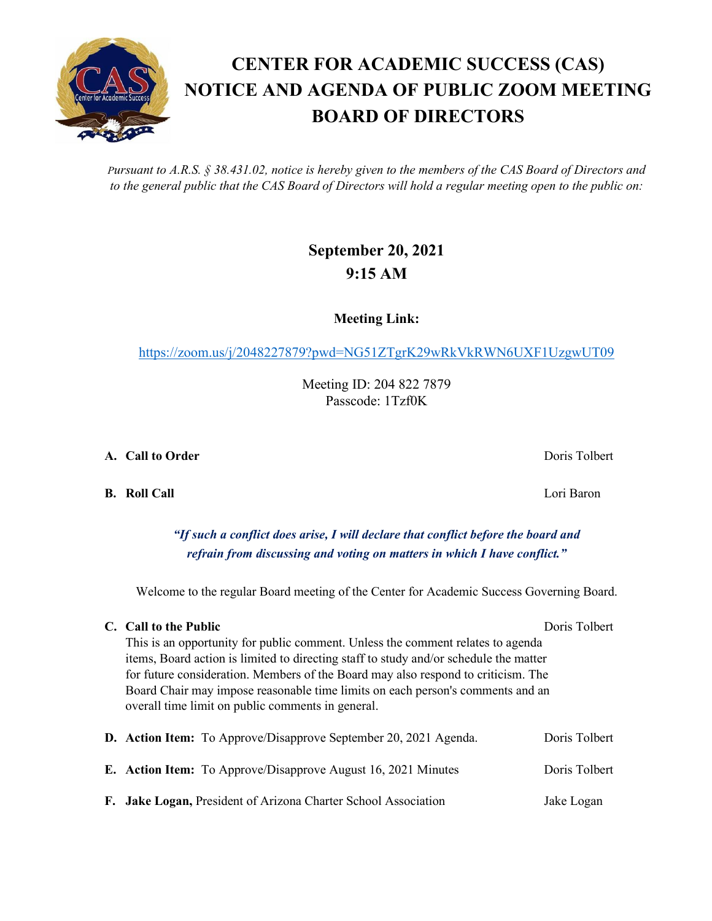*Pursuant to A.R.S. § 38.431.02, notice is hereby given to the members of the CAS Board of Directors and to the general public that the CAS Board of Directors will hold a regular meeting open to the public on:*

### **September 20, 2021 9:15 AM**

**Meeting Link:**

<https://zoom.us/j/2048227879?pwd=NG51ZTgrK29wRkVkRWN6UXF1UzgwUT09>

Meeting ID: 204 822 7879 Passcode: 1Tzf0K

**A. Call to Order** Doris Tolbert

**B. Roll Call** Lori Baron

### *"If such a conflict does arise, I will declare that conflict before the board and refrain from discussing and voting on matters in which I have conflict."*

Welcome to the regular Board meeting of the Center for Academic Success Governing Board.

|  | C. Call to the Public                                                                                                               | Doris Tolbert |  |  |
|--|-------------------------------------------------------------------------------------------------------------------------------------|---------------|--|--|
|  | This is an opportunity for public comment. Unless the comment relates to agenda                                                     |               |  |  |
|  | items, Board action is limited to directing staff to study and/or schedule the matter                                               |               |  |  |
|  | for future consideration. Members of the Board may also respond to criticism. The                                                   |               |  |  |
|  | Board Chair may impose reasonable time limits on each person's comments and an<br>overall time limit on public comments in general. |               |  |  |
|  | <b>D.</b> Action Item: To Approve/Disapprove September 20, 2021 Agenda.                                                             | Doris Tolbert |  |  |
|  | <b>E.</b> Action Item: To Approve/Disapprove August 16, 2021 Minutes                                                                | Doris Tolbert |  |  |

**F. Jake Logan,** President of Arizona Charter School Association Jake Logan

## **CENTER FOR ACADEMIC SUCCESS (CAS) NOTICE AND AGENDA OF PUBLIC ZOOM MEETING BOARD OF DIRECTORS**